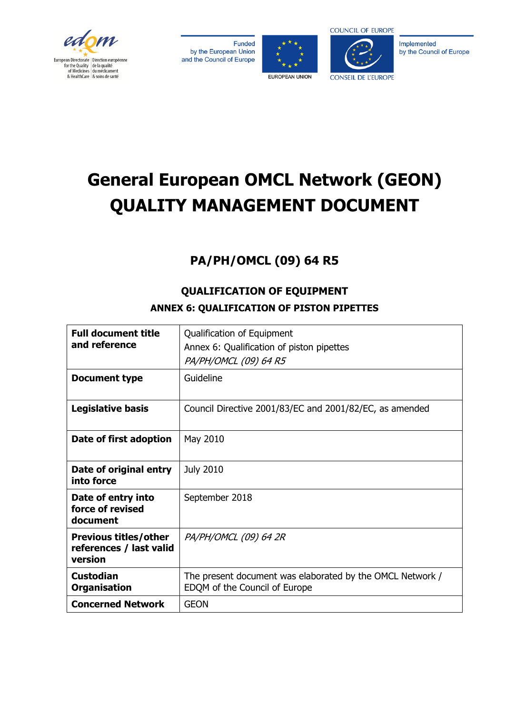

Funded by the European Union and the Council of Europe





Implemented by the Council of Europe

# **General European OMCL Network (GEON) QUALITY MANAGEMENT DOCUMENT**

# **PA/PH/OMCL (09) 64 R5**

#### **Full document title and reference**  Qualification of Equipment Annex 6: Qualification of piston pipettes PA/PH/OMCL (09) 64 R5 **Document type** | Guideline **Legislative basis** | Council Directive 2001/83/EC and 2001/82/EC, as amended **Date of first adoption** | May 2010 **Date of original entry into force**  July 2010 **Date of entry into force of revised document**  September 2018 **Previous titles/other references / last valid version**  PA/PH/OMCL (09) 64 2R **Custodian Organisation**  The present document was elaborated by the OMCL Network / EDQM of the Council of Europe **Concerned Network | GEON**

## **QUALIFICATION OF EQUIPMENT ANNEX 6: QUALIFICATION OF PISTON PIPETTES**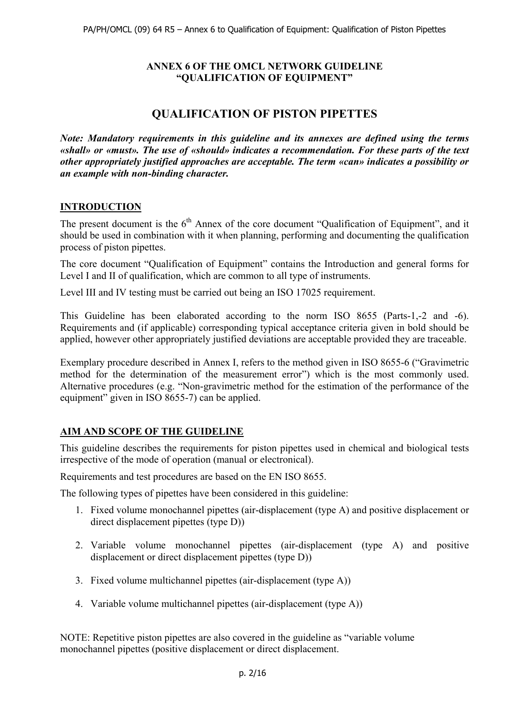#### **ANNEX 6 OF THE OMCL NETWORK GUIDELINE "QUALIFICATION OF EQUIPMENT"**

## **QUALIFICATION OF PISTON PIPETTES**

*Note: Mandatory requirements in this guideline and its annexes are defined using the terms «shall» or «must». The use of «should» indicates a recommendation. For these parts of the text other appropriately justified approaches are acceptable. The term «can» indicates a possibility or an example with non-binding character.*

#### **INTRODUCTION**

The present document is the  $6<sup>th</sup>$  Annex of the core document "Qualification of Equipment", and it should be used in combination with it when planning, performing and documenting the qualification process of piston pipettes.

The core document "Qualification of Equipment" contains the Introduction and general forms for Level I and II of qualification, which are common to all type of instruments.

Level III and IV testing must be carried out being an ISO 17025 requirement.

This Guideline has been elaborated according to the norm ISO 8655 (Parts-1,-2 and -6). Requirements and (if applicable) corresponding typical acceptance criteria given in bold should be applied, however other appropriately justified deviations are acceptable provided they are traceable.

Exemplary procedure described in Annex I, refers to the method given in ISO 8655-6 ("Gravimetric method for the determination of the measurement error") which is the most commonly used. Alternative procedures (e.g. "Non-gravimetric method for the estimation of the performance of the equipment" given in ISO 8655-7) can be applied.

#### **AIM AND SCOPE OF THE GUIDELINE**

This guideline describes the requirements for piston pipettes used in chemical and biological tests irrespective of the mode of operation (manual or electronical).

Requirements and test procedures are based on the EN ISO 8655.

The following types of pipettes have been considered in this guideline:

- 1. Fixed volume monochannel pipettes (air-displacement (type A) and positive displacement or direct displacement pipettes (type D))
- 2. Variable volume monochannel pipettes (air-displacement (type A) and positive displacement or direct displacement pipettes (type D))
- 3. Fixed volume multichannel pipettes (air-displacement (type A))
- 4. Variable volume multichannel pipettes (air-displacement (type A))

NOTE: Repetitive piston pipettes are also covered in the guideline as "variable volume monochannel pipettes (positive displacement or direct displacement.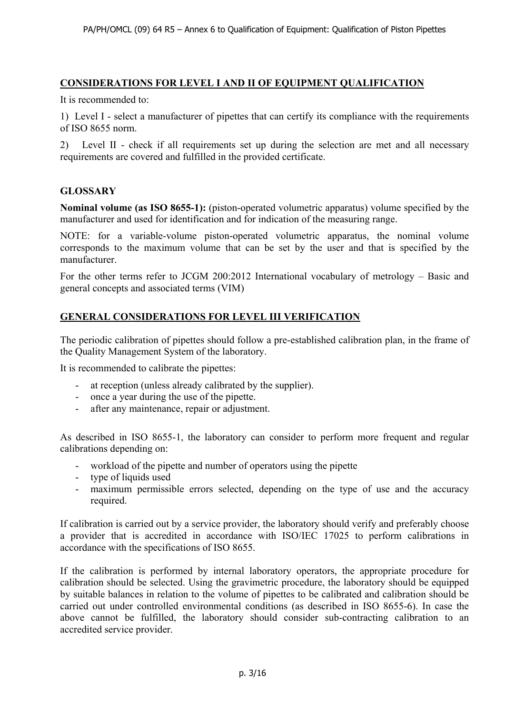#### **CONSIDERATIONS FOR LEVEL I AND II OF EQUIPMENT QUALIFICATION**

It is recommended to:

1) Level I - select a manufacturer of pipettes that can certify its compliance with the requirements of ISO 8655 norm.

2) Level II - check if all requirements set up during the selection are met and all necessary requirements are covered and fulfilled in the provided certificate.

#### **GLOSSARY**

**Nominal volume (as ISO 8655-1):** (piston-operated volumetric apparatus) volume specified by the manufacturer and used for identification and for indication of the measuring range.

NOTE: for a variable-volume piston-operated volumetric apparatus, the nominal volume corresponds to the maximum volume that can be set by the user and that is specified by the manufacturer.

For the other terms refer to JCGM 200:2012 International vocabulary of metrology – Basic and general concepts and associated terms (VIM)

#### **GENERAL CONSIDERATIONS FOR LEVEL III VERIFICATION**

The periodic calibration of pipettes should follow a pre-established calibration plan, in the frame of the Quality Management System of the laboratory.

It is recommended to calibrate the pipettes:

- at reception (unless already calibrated by the supplier).
- once a year during the use of the pipette.
- after any maintenance, repair or adjustment.

As described in ISO 8655-1, the laboratory can consider to perform more frequent and regular calibrations depending on:

- workload of the pipette and number of operators using the pipette
- type of liquids used
- maximum permissible errors selected, depending on the type of use and the accuracy required.

If calibration is carried out by a service provider, the laboratory should verify and preferably choose a provider that is accredited in accordance with ISO/IEC 17025 to perform calibrations in accordance with the specifications of ISO 8655.

If the calibration is performed by internal laboratory operators, the appropriate procedure for calibration should be selected. Using the gravimetric procedure, the laboratory should be equipped by suitable balances in relation to the volume of pipettes to be calibrated and calibration should be carried out under controlled environmental conditions (as described in ISO 8655-6). In case the above cannot be fulfilled, the laboratory should consider sub-contracting calibration to an accredited service provider.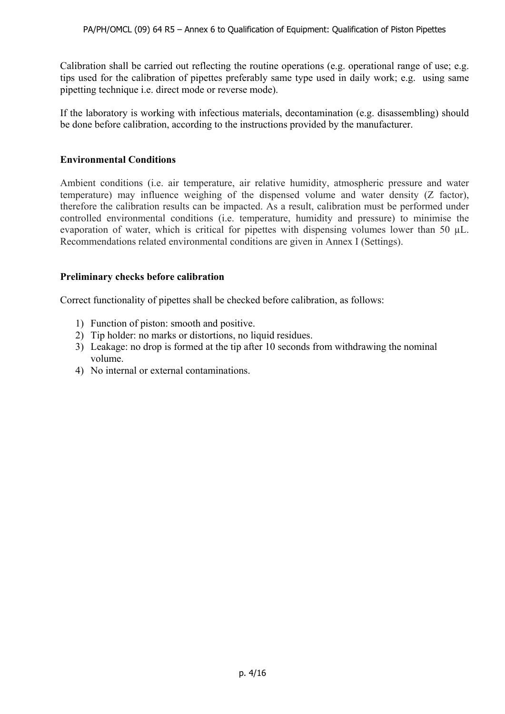Calibration shall be carried out reflecting the routine operations (e.g. operational range of use; e.g. tips used for the calibration of pipettes preferably same type used in daily work; e.g. using same pipetting technique i.e. direct mode or reverse mode).

If the laboratory is working with infectious materials, decontamination (e.g. disassembling) should be done before calibration, according to the instructions provided by the manufacturer.

#### **Environmental Conditions**

Ambient conditions (i.e. air temperature, air relative humidity, atmospheric pressure and water temperature) may influence weighing of the dispensed volume and water density (Z factor), therefore the calibration results can be impacted. As a result, calibration must be performed under controlled environmental conditions (i.e. temperature, humidity and pressure) to minimise the evaporation of water, which is critical for pipettes with dispensing volumes lower than 50  $\mu$ L. Recommendations related environmental conditions are given in Annex I (Settings).

#### **Preliminary checks before calibration**

Correct functionality of pipettes shall be checked before calibration, as follows:

- 1) Function of piston: smooth and positive.
- 2) Tip holder: no marks or distortions, no liquid residues.
- 3) Leakage: no drop is formed at the tip after 10 seconds from withdrawing the nominal volume.
- 4) No internal or external contaminations.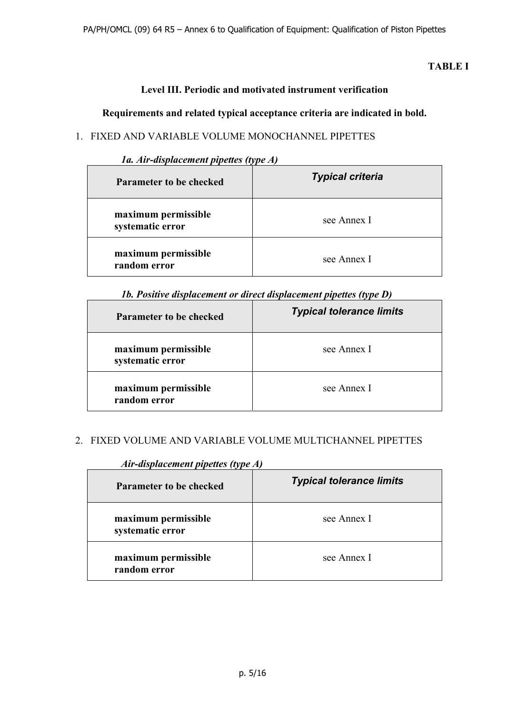## **TABLE I**

## **Level III. Periodic and motivated instrument verification**

#### **Requirements and related typical acceptance criteria are indicated in bold.**

## 1. FIXED AND VARIABLE VOLUME MONOCHANNEL PIPETTES

| 1a. Air-displacement pipettes (type A) |
|----------------------------------------|
|----------------------------------------|

| <b>Parameter to be checked</b>          | <b>Typical criteria</b> |  |
|-----------------------------------------|-------------------------|--|
| maximum permissible<br>systematic error | see Annex I             |  |
| maximum permissible<br>random error     | see Annex I             |  |

#### *1b. Positive displacement or direct displacement pipettes (type D)*

| Parameter to be checked                 | <b>Typical tolerance limits</b> |
|-----------------------------------------|---------------------------------|
| maximum permissible<br>systematic error | see Annex I                     |
| maximum permissible<br>random error     | see Annex I                     |

#### 2. FIXED VOLUME AND VARIABLE VOLUME MULTICHANNEL PIPETTES

| <b>Parameter to be checked</b>          | <b>Typical tolerance limits</b> |  |
|-----------------------------------------|---------------------------------|--|
| maximum permissible<br>systematic error | see Annex I                     |  |
| maximum permissible<br>random error     | see Annex I                     |  |

#### *Air-displacement pipettes (type A)*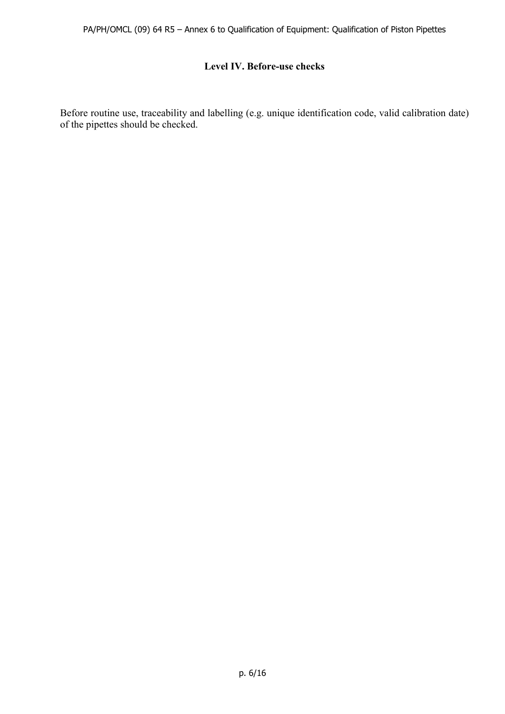#### **Level IV. Before-use checks**

Before routine use, traceability and labelling (e.g. unique identification code, valid calibration date) of the pipettes should be checked.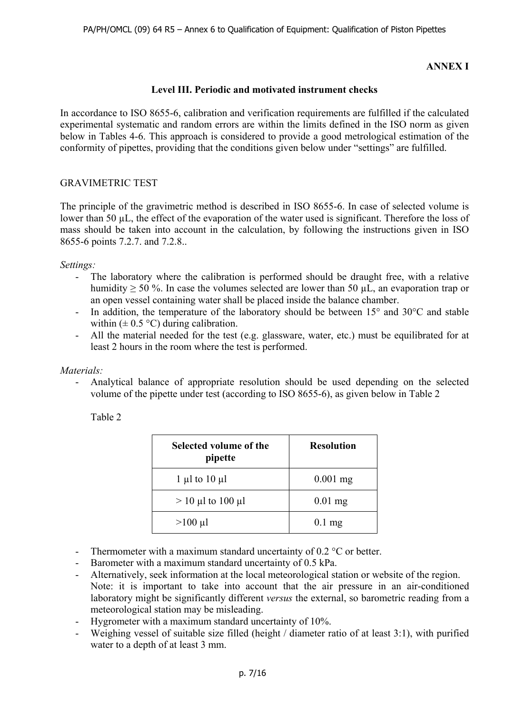#### **ANNEX I**

#### **Level III. Periodic and motivated instrument checks**

In accordance to ISO 8655-6, calibration and verification requirements are fulfilled if the calculated experimental systematic and random errors are within the limits defined in the ISO norm as given below in Tables 4-6. This approach is considered to provide a good metrological estimation of the conformity of pipettes, providing that the conditions given below under "settings" are fulfilled.

#### GRAVIMETRIC TEST

The principle of the gravimetric method is described in ISO 8655-6. In case of selected volume is lower than 50 µL, the effect of the evaporation of the water used is significant. Therefore the loss of mass should be taken into account in the calculation, by following the instructions given in ISO 8655-6 points 7.2.7. and 7.2.8..

#### *Settings:*

- The laboratory where the calibration is performed should be draught free, with a relative humidity ≥ 50 %. In case the volumes selected are lower than 50 µL, an evaporation trap or an open vessel containing water shall be placed inside the balance chamber.
- In addition, the temperature of the laboratory should be between  $15^{\circ}$  and  $30^{\circ}$ C and stable within  $(\pm 0.5 \degree C)$  during calibration.
- All the material needed for the test (e.g. glassware, water, etc.) must be equilibrated for at least 2 hours in the room where the test is performed.

#### *Materials:*

- Analytical balance of appropriate resolution should be used depending on the selected volume of the pipette under test (according to ISO 8655-6), as given below in Table 2

Table 2

| Selected volume of the<br>pipette | <b>Resolution</b> |
|-----------------------------------|-------------------|
| 1 µl to $10 \mu l$                | $0.001$ mg        |
| $> 10 \mu l$ to 100 $\mu l$       | $0.01$ mg         |
| $>100 \mu l$                      | $0.1$ mg          |

- Thermometer with a maximum standard uncertainty of 0.2 °C or better.
- Barometer with a maximum standard uncertainty of 0.5 kPa.
- Alternatively, seek information at the local meteorological station or website of the region. Note: it is important to take into account that the air pressure in an air-conditioned laboratory might be significantly different *versus* the external, so barometric reading from a meteorological station may be misleading.
- Hygrometer with a maximum standard uncertainty of 10%.
- Weighing vessel of suitable size filled (height / diameter ratio of at least 3:1), with purified water to a depth of at least 3 mm.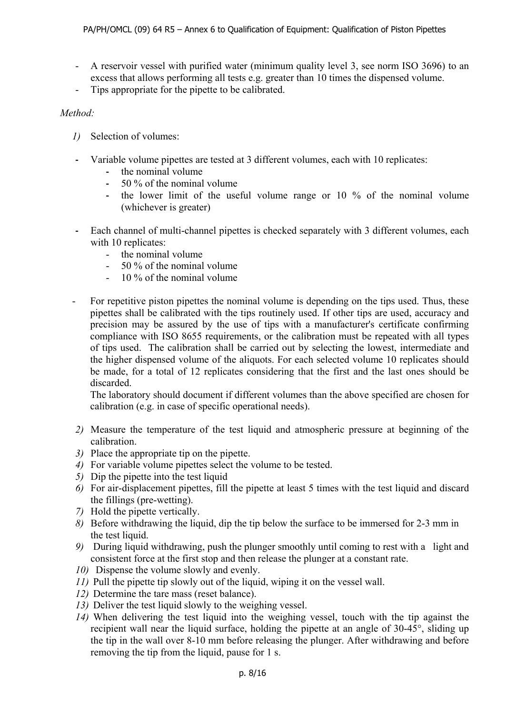- A reservoir vessel with purified water (minimum quality level 3, see norm ISO 3696) to an excess that allows performing all tests e.g. greater than 10 times the dispensed volume.
- Tips appropriate for the pipette to be calibrated.

#### *Method:*

- *1)* Selection of volumes:
- **-** Variable volume pipettes are tested at 3 different volumes, each with 10 replicates:
	- **-** the nominal volume
	- **-** 50 % of the nominal volume
	- **-** the lower limit of the useful volume range or 10 % of the nominal volume (whichever is greater)
- **-** Each channel of multi-channel pipettes is checked separately with 3 different volumes, each with 10 replicates:
	- the nominal volume
	- 50 % of the nominal volume
	- 10 % of the nominal volume
- For repetitive piston pipettes the nominal volume is depending on the tips used. Thus, these pipettes shall be calibrated with the tips routinely used. If other tips are used, accuracy and precision may be assured by the use of tips with a manufacturer's certificate confirming compliance with ISO 8655 requirements, or the calibration must be repeated with all types of tips used. The calibration shall be carried out by selecting the lowest, intermediate and the higher dispensed volume of the aliquots. For each selected volume 10 replicates should be made, for a total of 12 replicates considering that the first and the last ones should be discarded.

The laboratory should document if different volumes than the above specified are chosen for calibration (e.g. in case of specific operational needs).

- *2)* Measure the temperature of the test liquid and atmospheric pressure at beginning of the calibration.
- *3)* Place the appropriate tip on the pipette.
- *4)* For variable volume pipettes select the volume to be tested.
- *5)* Dip the pipette into the test liquid
- *6)* For air-displacement pipettes, fill the pipette at least 5 times with the test liquid and discard the fillings (pre-wetting).
- *7)* Hold the pipette vertically.
- *8)* Before withdrawing the liquid, dip the tip below the surface to be immersed for 2-3 mm in the test liquid.
- *9)* During liquid withdrawing, push the plunger smoothly until coming to rest with a light and consistent force at the first stop and then release the plunger at a constant rate.
- *10)* Dispense the volume slowly and evenly.
- *11)* Pull the pipette tip slowly out of the liquid, wiping it on the vessel wall.
- *12)* Determine the tare mass (reset balance).
- *13)* Deliver the test liquid slowly to the weighing vessel.
- *14)* When delivering the test liquid into the weighing vessel, touch with the tip against the recipient wall near the liquid surface, holding the pipette at an angle of 30-45°, sliding up the tip in the wall over 8-10 mm before releasing the plunger. After withdrawing and before removing the tip from the liquid, pause for 1 s.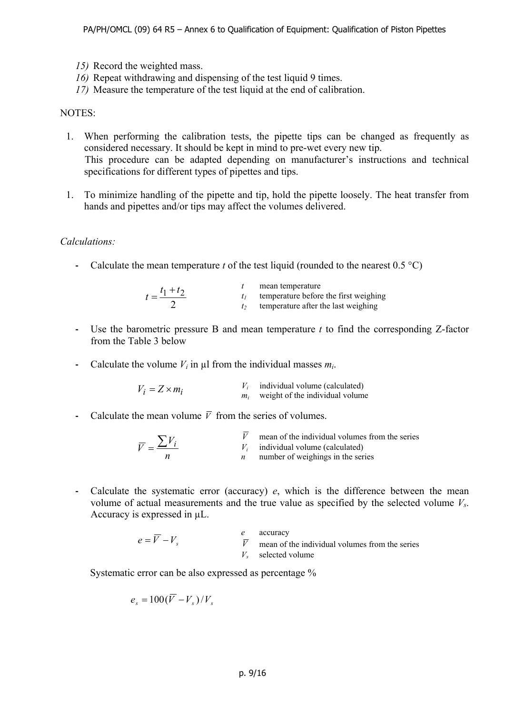- *15)* Record the weighted mass.
- *16)* Repeat withdrawing and dispensing of the test liquid 9 times.
- *17)* Measure the temperature of the test liquid at the end of calibration.

#### NOTES:

- 1. When performing the calibration tests, the pipette tips can be changed as frequently as considered necessary. It should be kept in mind to pre-wet every new tip. This procedure can be adapted depending on manufacturer's instructions and technical specifications for different types of pipettes and tips.
- 1. To minimize handling of the pipette and tip, hold the pipette loosely. The heat transfer from hands and pipettes and/or tips may affect the volumes delivered.

#### *Calculations:*

**-** Calculate the mean temperature *t* of the test liquid (rounded to the nearest 0.5 °C)

| $t = \frac{t_1 + t_2}{t_1 + t_2}$ | mean temperature<br>temperature before the first weighing |
|-----------------------------------|-----------------------------------------------------------|
|                                   | temperature after the last weighing                       |

- **-** Use the barometric pressure B and mean temperature *t* to find the corresponding Z-factor from the Table 3 below
- **-** Calculate the volume  $V_i$  in  $\mu$  from the individual masses  $m_i$ .

| $V_i = Z \times m_i$ | individual volume (calculated)  |
|----------------------|---------------------------------|
|                      | weight of the individual volume |

**-** Calculate the mean volume  $\overline{V}$  from the series of volumes.

$$
\overline{V} = \frac{\sum V_i}{n}
$$
 mean of the individual volumes from the series individual volume (calculated)  
\n*n* number of weighings in the series

**-** Calculate the systematic error (accuracy) *e*, which is the difference between the mean volume of actual measurements and the true value as specified by the selected volume *Vs*. Accuracy is expressed in µL.

|                 | accuracy                                           |
|-----------------|----------------------------------------------------|
| $e = V - V_{s}$ | $V$ mean of the individual volumes from the series |
|                 | $V_s$ selected volume                              |

Systematic error can be also expressed as percentage %

$$
e_s = 100(\overline{V} - V_s)/V_s
$$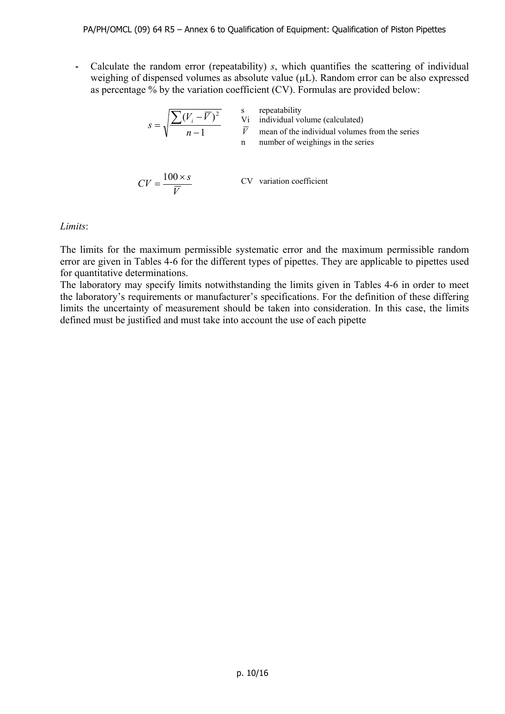**-** Calculate the random error (repeatability) *s*, which quantifies the scattering of individual weighing of dispensed volumes as absolute value ( $\mu$ L). Random error can be also expressed as percentage % by the variation coefficient (CV). Formulas are provided below:

$$
s = \sqrt{\frac{\sum (V_i - \overline{V})^2}{n-1}}
$$
 is repeatedly  
vi individual volume (calculated)  
mean of the individual volumes from the series  
number of weightings in the series  

$$
CV = \frac{100 \times s}{\sqrt{1 - \frac{100}{\sqrt{1 - \frac{100}{\sqrt{1 - \frac{100}{\sqrt{1 - \frac{100}{\sqrt{1 - \frac{100}{\sqrt{1 - \frac{100}{\sqrt{1 - \frac{100}{\sqrt{1 - \frac{100}{\sqrt{1 - \frac{100}{\sqrt{1 - \frac{100}{\sqrt{1 - \frac{100}{\sqrt{1 - \frac{100}{\sqrt{1 - \frac{100}{\sqrt{1 - \frac{100}{\sqrt{1 - \frac{100}{\sqrt{1 - \frac{100}{\sqrt{1 - \frac{100}{\sqrt{1 - \frac{100}{\sqrt{1 - \frac{100}{\sqrt{1 - \frac{100}{\sqrt{1 - \frac{100}{\sqrt{1 - \frac{100}{\sqrt{1 - \frac{100}{\sqrt{1 - \frac{100}{\sqrt{1 - \frac{100}{\sqrt{1 - \frac{100}{\sqrt{1 - \frac{100}{\sqrt{1 - \frac{100}{\sqrt{1 - \frac{100}{\sqrt{1 - \frac{100}{\sqrt{1 - \frac{100}{\sqrt{1 - \frac{100}{\sqrt{1 - \frac{100}{\sqrt{1 - \frac{100}{\sqrt{1 - \frac{100}{\sqrt{1 - \frac{100}{\sqrt{1 - \frac{100}{\sqrt{1 - \frac{100}{\sqrt{1 - \frac{100}{\sqrt{1 - \frac{100}{\sqrt{1 - \frac{100}{\sqrt{1 - \frac{100}{\sqrt{1 - \frac{100}{\sqrt{1 - \frac{100}{\sqrt{1 - \frac{100}{\sqrt{1 - \frac{100}{\sqrt{1 - \frac{100}{\sqrt{1 - \frac{100}{\sqrt{1 - \frac{100}{\sqrt{1 - \frac{100}{\sqrt{1 - \frac{100}{\sqrt{1 - \frac{100}{\sqrt{1 - \frac{100}{\sqrt{1 - \frac{10}{\sqrt{1 - \frac{10}{\sqrt{1 - \frac{10}{\sqrt{1 - \frac{10}{\sqrt{
$$

CV variation coefficient

#### *Limits*:

The limits for the maximum permissible systematic error and the maximum permissible random error are given in Tables 4-6 for the different types of pipettes. They are applicable to pipettes used for quantitative determinations.

*V*

The laboratory may specify limits notwithstanding the limits given in Tables 4-6 in order to meet the laboratory's requirements or manufacturer's specifications. For the definition of these differing limits the uncertainty of measurement should be taken into consideration. In this case, the limits defined must be justified and must take into account the use of each pipette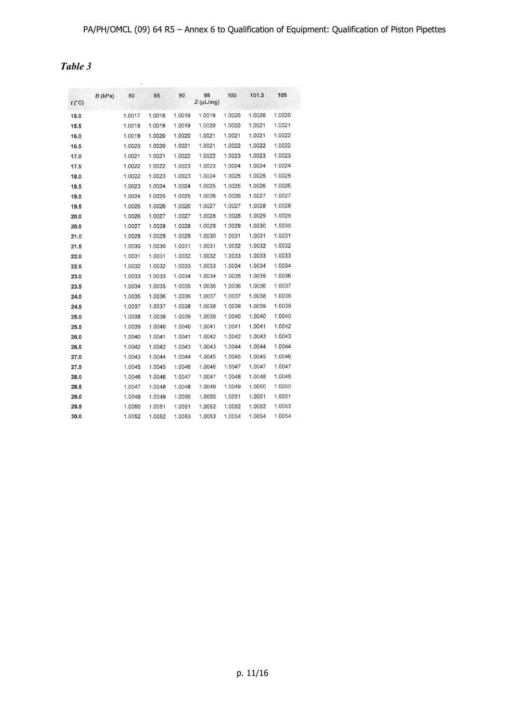| $t(^{\circ}C)$ | $B$ (kPa) | 80     | 85     | 90     | 95<br>$Z(\mu L/mg)$ | 100    | 101.3  | 105    |
|----------------|-----------|--------|--------|--------|---------------------|--------|--------|--------|
| 15.0           |           | 1.0017 | 1.0018 | 1.0019 | 1.0019              | 1.0020 | 1.0020 | 1.0020 |
| 15.5           |           | 1.0018 | 1.0019 | 1.0019 | 1.0020              | 1.0020 | 1.0021 | 1.0021 |
| 16.0           |           | 1.0019 | 1.0020 | 1.0020 | 1.0021              | 1.0021 | 1.0021 | 1.0022 |
| 16.5           |           | 1.0020 | 1.0020 | 1.0021 | 1.0021              | 1.0022 | 1.0022 | 1.0022 |
| 17.0           |           | 1.0021 | 1.0021 | 1.0022 | 1.0022              | 1.0023 | 1.0023 | 1.0023 |
| 17.5           |           | 1.0022 | 1.0022 | 1.0023 | 1.0023              | 1.0024 | 1.0024 | 1.0024 |
| 18.0           |           | 1.0022 | 1.0023 | 1.0023 | 1.0024              | 1.0025 | 1.0025 | 1.0025 |
| 18.5           |           | 1.0023 | 1.0024 | 1.0024 | 1.0025              | 1.0025 | 1.0026 | 1.0026 |
| 19.0           |           | 1.0024 | 1.0025 | 1.0025 | 1.0026              | 1.0026 | 1.0027 | 1.0027 |
| 19.5           |           | 1.0025 | 1.0026 | 1.0026 | 1.0027              | 1.0027 | 1.0028 | 1.0028 |
| 20.0           |           | 1.0026 | 1.0027 | 1.0027 | 1.0028              | 1.0028 | 1.0029 | 1.0029 |
| 20.5           |           | 1.0027 | 1.0028 | 1.0028 | 1.0029              | 1.0029 | 1.0030 | 1.0030 |
| 21.0           |           | 1.0028 | 1.0029 | 1.0029 | 1.0030              | 1.0031 | 1.0031 | 1.0031 |
| 21.5           |           | 1.0030 | 1.0030 | 1.0031 | 1.0031              | 1.0032 | 1.0032 | 1.0032 |
| 22.0           |           | 1.0031 | 1.0031 | 1.0032 | 1.0032              | 1.0033 | 1.0033 | 1.0033 |
| 22.5           |           | 1.0032 | 1.0032 | 1.0033 | 1.0033              | 1.0034 | 1.0034 | 1.0034 |
| 23.0           |           | 1.0033 | 1.0033 | 1.0034 | 1.0034              | 1.0035 | 1.0035 | 1.0036 |
| 23.5           |           | 1.0034 | 1.0035 | 1.0035 | 1.0036              | 1.0036 | 1.0036 | 1.0037 |
| 24.0           |           | 1.0035 | 1.0036 | 1.0036 | 1.0037              | 1.0037 | 1.0038 | 1.0038 |
| 24.5           |           | 1.0037 | 1.0037 | 1.0038 | 1.0038              | 1.0039 | 1.0039 | 1.0039 |
| 25.0           |           | 1.0038 | 1.0038 | 1.0039 | 1.0039              | 1.0040 | 1.0040 | 1.0040 |
| 25.5           |           | 1.0039 | 1.0040 | 1.0040 | 1.0041              | 1.0041 | 1.0041 | 1.0042 |
| 26.0           |           | 1.0040 | 1.0041 | 1.0041 | 1.0042              | 1.0042 | 1.0043 | 1.0043 |
| 26.5           |           | 1.0042 | 1.0042 | 1.0043 | 1.0043              | 1.0044 | 1.0044 | 1.0044 |
| 27.0           |           | 1.0043 | 1.0044 | 1.0044 | 1.0045              | 1.0045 | 1.0045 | 1.0046 |
| 27.5           |           | 1.0045 | 1.0045 | 1.0046 | 1.0046              | 1.0047 | 1.0047 | 1.0047 |
| 28.0           |           | 1.0046 | 1.0046 | 1.0047 | 1.0047              | 1.0048 | 1.0048 | 1.0048 |
| 28.5           |           | 1.0047 | 1.0048 | 1.0048 | 1.0049              | 1.0049 | 1.0050 | 1.0050 |
| 29.0           |           | 1.0049 | 1.0049 | 1.0050 | 1.0050              | 1.0051 | 1.0051 | 1.0051 |
| 29.5           |           | 1.0050 | 1.0051 | 1.0051 | 1.0052              | 1.0052 | 1.0052 | 1.0053 |
| 30.0           |           | 1.0052 | 1.0052 | 1.0053 | 1.0053              | 1.0054 | 1.0054 | 1.0054 |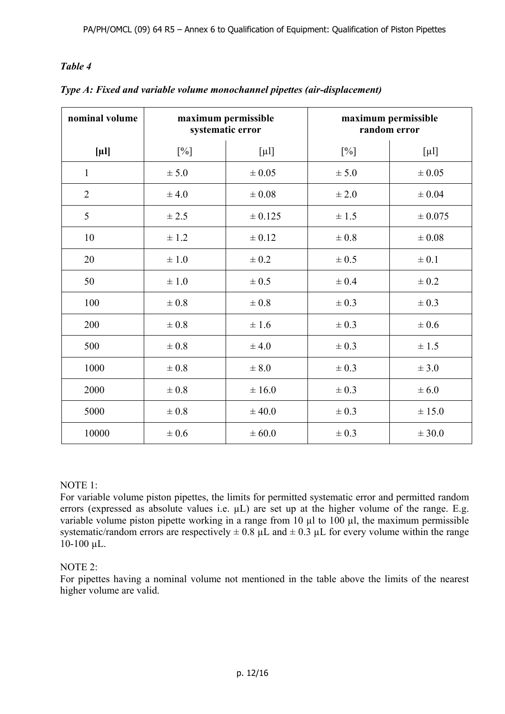| nominal volume | maximum permissible<br>systematic error |            |            | maximum permissible<br>random error |
|----------------|-----------------------------------------|------------|------------|-------------------------------------|
| $[\mu]$        | $[\%]$                                  | $[\mu 1]$  | $[\%]$     | $[\mu 1]$                           |
| $\mathbf{1}$   | ± 5.0                                   | $\pm 0.05$ | ± 5.0      | $\pm 0.05$                          |
| $\overline{2}$ | ± 4.0                                   | $\pm 0.08$ | $\pm\,2.0$ | $\pm 0.04$                          |
| 5              | ± 2.5                                   | ± 0.125    | $\pm 1.5$  | ± 0.075                             |
| 10             | $\pm$ 1.2                               | $\pm 0.12$ | $\pm 0.8$  | $\pm 0.08$                          |
| 20             | $\pm 1.0$                               | $\pm 0.2$  | $\pm$ 0.5  | $\pm 0.1$                           |
| 50             | $\pm 1.0$                               | $\pm 0.5$  | $\pm 0.4$  | $\pm 0.2$                           |
| 100            | $\pm 0.8$                               | $\pm 0.8$  | $\pm 0.3$  | $\pm 0.3$                           |
| 200            | $\pm 0.8$                               | ± 1.6      | $\pm 0.3$  | $\pm 0.6$                           |
| 500            | $\pm 0.8$                               | ± 4.0      | $\pm 0.3$  | $\pm 1.5$                           |
| 1000           | $\pm 0.8$                               | $\pm 8.0$  | $\pm 0.3$  | ± 3.0                               |
| 2000           | $\pm 0.8$                               | ± 16.0     | $\pm 0.3$  | $\pm 6.0$                           |
| 5000           | $\pm\,0.8$                              | ± 40.0     | $\pm 0.3$  | ± 15.0                              |
| 10000          | $\pm$ 0.6                               | $\pm 60.0$ | $\pm 0.3$  | ± 30.0                              |

*Type A: Fixed and variable volume monochannel pipettes (air-displacement)* 

#### NOTE 1:

For variable volume piston pipettes, the limits for permitted systematic error and permitted random errors (expressed as absolute values i.e.  $\mu$ L) are set up at the higher volume of the range. E.g. variable volume piston pipette working in a range from 10  $\mu$ l to 100  $\mu$ l, the maximum permissible systematic/random errors are respectively  $\pm$  0.8 µL and  $\pm$  0.3 µL for every volume within the range 10-100 µL.

#### NOTE 2:

For pipettes having a nominal volume not mentioned in the table above the limits of the nearest higher volume are valid.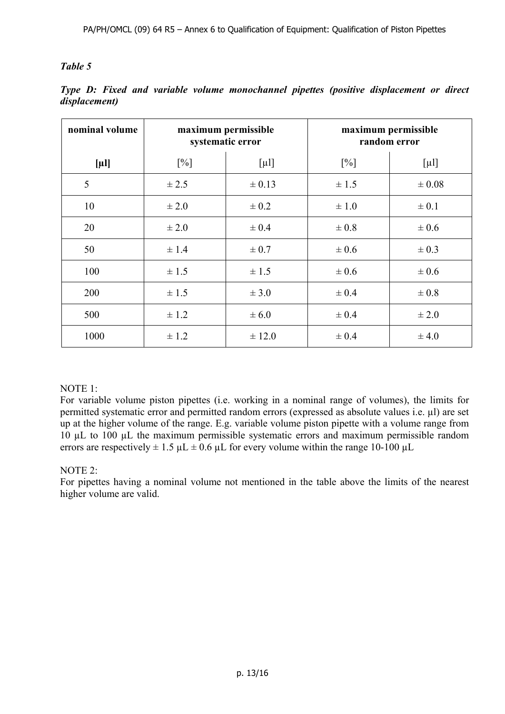| nominal volume | maximum permissible<br>systematic error |            |           | maximum permissible<br>random error |
|----------------|-----------------------------------------|------------|-----------|-------------------------------------|
| $[\mu]$        | $[\%]$                                  | $[\mu$ l]  | $[\%]$    | $[\mu$ l]                           |
| 5              | ± 2.5                                   | $\pm 0.13$ | $\pm$ 1.5 | $\pm 0.08$                          |
| 10             | $\pm 2.0$                               | $\pm 0.2$  | $\pm 1.0$ | $\pm 0.1$                           |
| 20             | $\pm 2.0$                               | $\pm 0.4$  | $\pm 0.8$ | $\pm 0.6$                           |
| 50             | $\pm$ 1.4                               | $\pm 0.7$  | $\pm 0.6$ | $\pm 0.3$                           |
| 100            | $\pm$ 1.5                               | $\pm 1.5$  | $\pm 0.6$ | $\pm 0.6$                           |
| 200            | $\pm$ 1.5                               | $\pm$ 3.0  | $\pm 0.4$ | $\pm 0.8$                           |
| 500            | $\pm$ 1.2                               | $\pm 6.0$  | $\pm 0.4$ | $\pm 2.0$                           |
| 1000           | $\pm$ 1.2                               | $\pm$ 12.0 | $\pm 0.4$ | $\pm 4.0$                           |

*Type D: Fixed and variable volume monochannel pipettes (positive displacement or direct displacement)*

#### NOTE 1:

For variable volume piston pipettes (i.e. working in a nominal range of volumes), the limits for permitted systematic error and permitted random errors (expressed as absolute values i.e. µl) are set up at the higher volume of the range. E.g. variable volume piston pipette with a volume range from 10 µL to 100 µL the maximum permissible systematic errors and maximum permissible random errors are respectively  $\pm 1.5 \mu L \pm 0.6 \mu L$  for every volume within the range 10-100  $\mu L$ 

#### NOTE 2:

For pipettes having a nominal volume not mentioned in the table above the limits of the nearest higher volume are valid.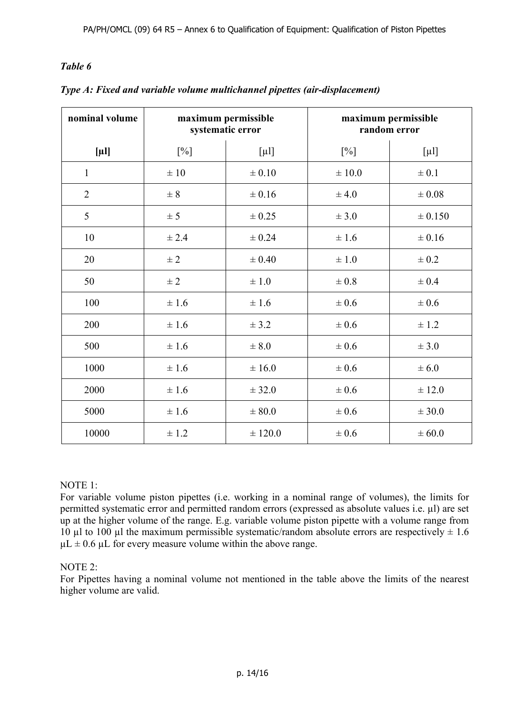| nominal volume | maximum permissible<br>systematic error |            |            | maximum permissible<br>random error |
|----------------|-----------------------------------------|------------|------------|-------------------------------------|
| $[\mu]$        | $[\%]$                                  | $[\mu 1]$  | $[\%]$     | $[\mu$ l]                           |
| $\mathbf{1}$   | $\pm 10$                                | $\pm 0.10$ | $\pm 10.0$ | $\pm 0.1$                           |
| $\overline{2}$ | $\pm$ 8                                 | $\pm 0.16$ | ± 4.0      | $\pm 0.08$                          |
| 5              | $\pm$ 5                                 | $\pm 0.25$ | ± 3.0      | ± 0.150                             |
| 10             | ± 2.4                                   | $\pm 0.24$ | ± 1.6      | $\pm 0.16$                          |
| 20             | $\pm 2$                                 | $\pm 0.40$ | $\pm$ 1.0  | $\pm 0.2$                           |
| 50             | $\pm$ 2                                 | $\pm 1.0$  | $\pm 0.8$  | $\pm 0.4$                           |
| 100            | ± 1.6                                   | ± 1.6      | $\pm 0.6$  | $\pm 0.6$                           |
| 200            | ±1.6                                    | ± 3.2      | $\pm$ 0.6  | $\pm$ 1.2                           |
| 500            | ± 1.6                                   | $\pm 8.0$  | $\pm 0.6$  | ± 3.0                               |
| 1000           | $\pm 1.6$                               | ± 16.0     | $\pm$ 0.6  | $\pm 6.0$                           |
| 2000           | ±1.6                                    | ± 32.0     | $\pm 0.6$  | ± 12.0                              |
| 5000           | ±1.6                                    | $\pm 80.0$ | $\pm 0.6$  | ± 30.0                              |
| 10000          | $\pm$ 1.2                               | ± 120.0    | $\pm 0.6$  | $\pm 60.0$                          |

*Type A: Fixed and variable volume multichannel pipettes (air-displacement)* 

#### NOTE 1:

For variable volume piston pipettes (i.e. working in a nominal range of volumes), the limits for permitted systematic error and permitted random errors (expressed as absolute values i.e. µl) are set up at the higher volume of the range. E.g. variable volume piston pipette with a volume range from 10 µl to 100 µl the maximum permissible systematic/random absolute errors are respectively  $\pm$  1.6  $\mu L \pm 0.6 \mu L$  for every measure volume within the above range.

#### NOTE 2:

For Pipettes having a nominal volume not mentioned in the table above the limits of the nearest higher volume are valid.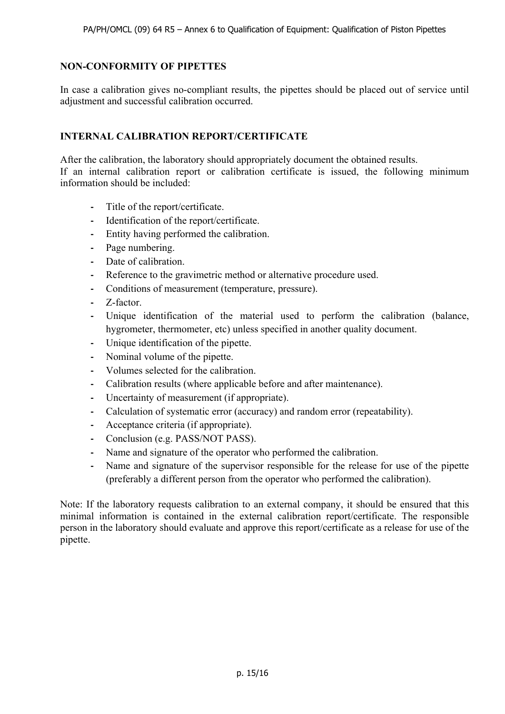#### **NON-CONFORMITY OF PIPETTES**

In case a calibration gives no-compliant results, the pipettes should be placed out of service until adjustment and successful calibration occurred.

#### **INTERNAL CALIBRATION REPORT/CERTIFICATE**

After the calibration, the laboratory should appropriately document the obtained results.

If an internal calibration report or calibration certificate is issued, the following minimum information should be included:

- **-** Title of the report/certificate.
- **-** Identification of the report/certificate.
- **-** Entity having performed the calibration.
- **-** Page numbering.
- **-** Date of calibration.
- **-** Reference to the gravimetric method or alternative procedure used.
- **-** Conditions of measurement (temperature, pressure).
- **-** Z-factor.
- **-** Unique identification of the material used to perform the calibration (balance, hygrometer, thermometer, etc) unless specified in another quality document.
- **-** Unique identification of the pipette.
- **-** Nominal volume of the pipette.
- **-** Volumes selected for the calibration.
- **-** Calibration results (where applicable before and after maintenance).
- **-** Uncertainty of measurement (if appropriate).
- **-** Calculation of systematic error (accuracy) and random error (repeatability).
- **-** Acceptance criteria (if appropriate).
- **-** Conclusion (e.g. PASS/NOT PASS).
- **-** Name and signature of the operator who performed the calibration.
- **-** Name and signature of the supervisor responsible for the release for use of the pipette (preferably a different person from the operator who performed the calibration).

Note: If the laboratory requests calibration to an external company, it should be ensured that this minimal information is contained in the external calibration report/certificate. The responsible person in the laboratory should evaluate and approve this report/certificate as a release for use of the pipette.